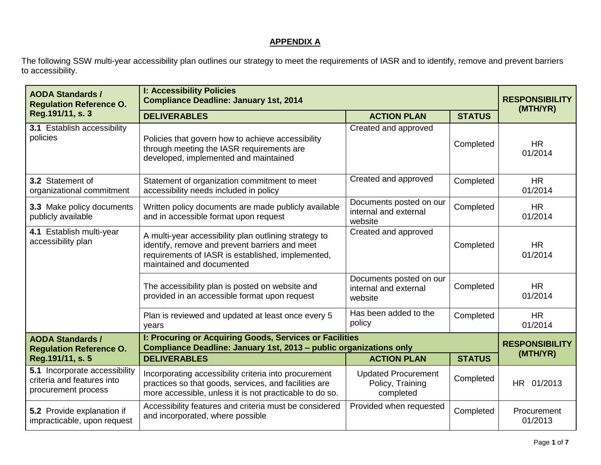## **APPENDIX A**

The following SSW multi-year accessibility plan outlines our strategy to meet the requirements of IASR and to identify, remove and prevent barriers to accessibility.

| <b>AODA Standards /</b><br><b>Regulation Reference O.</b>                          | <b>I: Accessibility Policies</b><br><b>Compliance Deadline: January 1st, 2014</b>                                                                                                         |                                                             | <b>RESPONSIBILITY</b><br>(MTH/YR) |                                   |
|------------------------------------------------------------------------------------|-------------------------------------------------------------------------------------------------------------------------------------------------------------------------------------------|-------------------------------------------------------------|-----------------------------------|-----------------------------------|
| Reg.191/11, s. 3                                                                   | <b>DELIVERABLES</b>                                                                                                                                                                       | <b>ACTION PLAN</b>                                          | <b>STATUS</b>                     |                                   |
| <b>3.1 Establish accessibility</b><br>policies                                     | Policies that govern how to achieve accessibility<br>through meeting the IASR requirements are<br>developed, implemented and maintained                                                   | Created and approved                                        | Completed                         | <b>HR</b><br>01/2014              |
| 3.2 Statement of<br>organizational commitment                                      | Statement of organization commitment to meet<br>accessibility needs included in policy                                                                                                    | Created and approved                                        | Completed                         | <b>HR</b><br>01/2014              |
| 3.3 Make policy documents<br>publicly available                                    | Written policy documents are made publicly available<br>and in accessible format upon request                                                                                             | Documents posted on our<br>internal and external<br>website | Completed                         | <b>HR</b><br>01/2014              |
| 4.1 Establish multi-year<br>accessibility plan                                     | A multi-year accessibility plan outlining strategy to<br>identify, remove and prevent barriers and meet<br>requirements of IASR is established, implemented,<br>maintained and documented | Created and approved                                        | Completed                         | <b>HR</b><br>01/2014              |
|                                                                                    | The accessibility plan is posted on website and<br>provided in an accessible format upon request                                                                                          | Documents posted on our<br>internal and external<br>website | Completed                         | <b>HR</b><br>01/2014              |
|                                                                                    | Plan is reviewed and updated at least once every 5<br>years                                                                                                                               | Has been added to the<br>policy                             | Completed                         | <b>HR</b><br>01/2014              |
| <b>AODA Standards /</b><br><b>Regulation Reference O.</b>                          | I: Procuring or Acquiring Goods, Services or Facilities<br>Compliance Deadline: January 1st, 2013 - public organizations only                                                             |                                                             |                                   | <b>RESPONSIBILITY</b><br>(MTH/YR) |
| Reg.191/11, s. 5                                                                   | <b>DELIVERABLES</b>                                                                                                                                                                       | <b>ACTION PLAN</b>                                          | <b>STATUS</b>                     |                                   |
| 5.1 Incorporate accessibility<br>criteria and features into<br>procurement process | Incorporating accessibility criteria into procurement<br>practices so that goods, services, and facilities are<br>more accessible, unless it is not practicable to do so.                 | <b>Updated Procurement</b><br>Policy, Training<br>completed | Completed                         | HR 01/2013                        |
| 5.2 Provide explanation if<br>impracticable, upon request                          | Accessibility features and criteria must be considered<br>and incorporated, where possible                                                                                                | Provided when requested                                     | Completed                         | Procurement<br>01/2013            |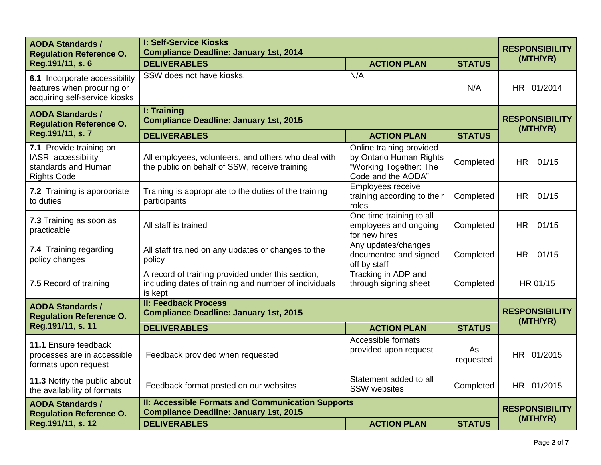| <b>AODA Standards /</b><br><b>Regulation Reference O.</b>                                    | <b>I: Self-Service Kiosks</b><br><b>Compliance Deadline: January 1st, 2014</b>                                        |                                                                                                     |                                   | <b>RESPONSIBILITY</b> |  |
|----------------------------------------------------------------------------------------------|-----------------------------------------------------------------------------------------------------------------------|-----------------------------------------------------------------------------------------------------|-----------------------------------|-----------------------|--|
| Reg.191/11, s. 6                                                                             | <b>DELIVERABLES</b>                                                                                                   | <b>ACTION PLAN</b>                                                                                  | <b>STATUS</b>                     | (MTH/YR)              |  |
| 6.1 Incorporate accessibility<br>features when procuring or<br>acquiring self-service kiosks | SSW does not have kiosks.                                                                                             | N/A                                                                                                 | N/A                               | HR 01/2014            |  |
| <b>AODA Standards /</b><br><b>Regulation Reference O.</b>                                    | I: Training<br><b>Compliance Deadline: January 1st, 2015</b>                                                          |                                                                                                     | <b>RESPONSIBILITY</b><br>(MTH/YR) |                       |  |
| Reg.191/11, s. 7                                                                             | <b>DELIVERABLES</b>                                                                                                   | <b>ACTION PLAN</b>                                                                                  | <b>STATUS</b>                     |                       |  |
| 7.1 Provide training on<br>IASR accessibility<br>standards and Human<br><b>Rights Code</b>   | All employees, volunteers, and others who deal with<br>the public on behalf of SSW, receive training                  | Online training provided<br>by Ontario Human Rights<br>"Working Together: The<br>Code and the AODA" | Completed                         | <b>HR</b><br>01/15    |  |
| 7.2 Training is appropriate<br>to duties                                                     | Training is appropriate to the duties of the training<br>participants                                                 | <b>Employees receive</b><br>training according to their<br>roles                                    | Completed                         | HR.<br>01/15          |  |
| 7.3 Training as soon as<br>practicable                                                       | All staff is trained                                                                                                  | One time training to all<br>employees and ongoing<br>for new hires                                  | Completed                         | <b>HR</b><br>01/15    |  |
| 7.4 Training regarding<br>policy changes                                                     | All staff trained on any updates or changes to the<br>policy                                                          | Any updates/changes<br>documented and signed<br>off by staff                                        | Completed                         | HR 01/15              |  |
| 7.5 Record of training                                                                       | A record of training provided under this section,<br>including dates of training and number of individuals<br>is kept | Tracking in ADP and<br>through signing sheet                                                        | Completed                         | HR 01/15              |  |
| <b>AODA Standards /</b><br><b>Regulation Reference O.</b>                                    | <b>II: Feedback Process</b><br><b>Compliance Deadline: January 1st, 2015</b>                                          |                                                                                                     | <b>RESPONSIBILITY</b><br>(MTH/YR) |                       |  |
| Reg.191/11, s. 11                                                                            | <b>DELIVERABLES</b>                                                                                                   | <b>ACTION PLAN</b>                                                                                  | <b>STATUS</b>                     |                       |  |
| 11.1 Ensure feedback<br>processes are in accessible<br>formats upon request                  | Feedback provided when requested                                                                                      | Accessible formats<br>provided upon request                                                         | As<br>requested                   | HR 01/2015            |  |
| 11.3 Notify the public about<br>the availability of formats                                  | Feedback format posted on our websites                                                                                | Statement added to all<br><b>SSW</b> websites                                                       | Completed                         | HR 01/2015            |  |
| <b>AODA Standards /</b><br><b>Regulation Reference O.</b>                                    | II: Accessible Formats and Communication Supports<br><b>Compliance Deadline: January 1st, 2015</b>                    |                                                                                                     |                                   | <b>RESPONSIBILITY</b> |  |
| Reg.191/11, s. 12                                                                            | <b>DELIVERABLES</b>                                                                                                   | <b>ACTION PLAN</b>                                                                                  | <b>STATUS</b>                     | (MTH/YR)              |  |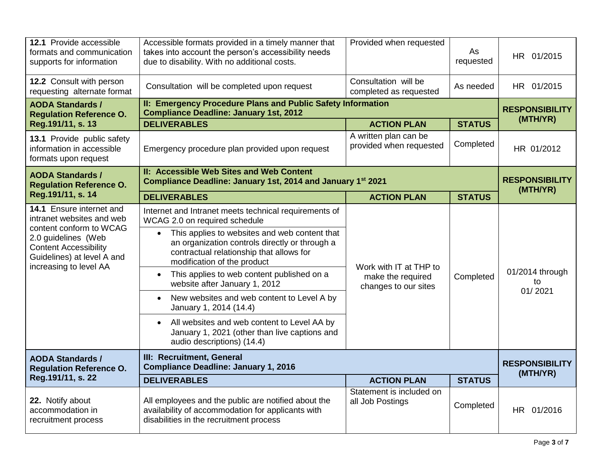| 12.1 Provide accessible<br>formats and communication<br>supports for information                                                                                                                | Accessible formats provided in a timely manner that<br>takes into account the person's accessibility needs<br>due to disability. With no additional costs.                                                                                                                                                                                                                                                                                                                                                                                                                          | Provided when requested                                             | As<br>requested | HR 01/2015                        |
|-------------------------------------------------------------------------------------------------------------------------------------------------------------------------------------------------|-------------------------------------------------------------------------------------------------------------------------------------------------------------------------------------------------------------------------------------------------------------------------------------------------------------------------------------------------------------------------------------------------------------------------------------------------------------------------------------------------------------------------------------------------------------------------------------|---------------------------------------------------------------------|-----------------|-----------------------------------|
| 12.2 Consult with person<br>requesting alternate format                                                                                                                                         | Consultation will be completed upon request                                                                                                                                                                                                                                                                                                                                                                                                                                                                                                                                         | Consultation will be<br>completed as requested                      | As needed       | HR 01/2015                        |
| <b>AODA Standards /</b><br><b>Regulation Reference O.</b>                                                                                                                                       | II: Emergency Procedure Plans and Public Safety Information<br><b>Compliance Deadline: January 1st, 2012</b>                                                                                                                                                                                                                                                                                                                                                                                                                                                                        |                                                                     |                 | <b>RESPONSIBILITY</b>             |
| Reg.191/11, s. 13                                                                                                                                                                               | <b>DELIVERABLES</b>                                                                                                                                                                                                                                                                                                                                                                                                                                                                                                                                                                 | <b>ACTION PLAN</b>                                                  | <b>STATUS</b>   | (MTH/YR)                          |
| 13.1 Provide public safety<br>information in accessible<br>formats upon request                                                                                                                 | Emergency procedure plan provided upon request                                                                                                                                                                                                                                                                                                                                                                                                                                                                                                                                      | A written plan can be<br>provided when requested                    | Completed       | HR 01/2012                        |
| <b>AODA Standards /</b><br><b>Regulation Reference O.</b>                                                                                                                                       | II: Accessible Web Sites and Web Content<br>Compliance Deadline: January 1st, 2014 and January 1st 2021                                                                                                                                                                                                                                                                                                                                                                                                                                                                             |                                                                     |                 | <b>RESPONSIBILITY</b><br>(MTH/YR) |
| Reg.191/11, s. 14                                                                                                                                                                               | <b>DELIVERABLES</b>                                                                                                                                                                                                                                                                                                                                                                                                                                                                                                                                                                 | <b>ACTION PLAN</b>                                                  | <b>STATUS</b>   |                                   |
| 14.1 Ensure internet and<br>intranet websites and web<br>content conform to WCAG<br>2.0 guidelines (Web<br><b>Content Accessibility</b><br>Guidelines) at level A and<br>increasing to level AA | Internet and Intranet meets technical requirements of<br>WCAG 2.0 on required schedule<br>This applies to websites and web content that<br>$\bullet$<br>an organization controls directly or through a<br>contractual relationship that allows for<br>modification of the product<br>This applies to web content published on a<br>website after January 1, 2012<br>New websites and web content to Level A by<br>January 1, 2014 (14.4)<br>All websites and web content to Level AA by<br>$\bullet$<br>January 1, 2021 (other than live captions and<br>audio descriptions) (14.4) | Work with IT at THP to<br>make the required<br>changes to our sites | Completed       | 01/2014 through<br>to<br>01/2021  |
| <b>AODA Standards /</b><br><b>Regulation Reference O.</b>                                                                                                                                       | III: Recruitment, General<br><b>Compliance Deadline: January 1, 2016</b>                                                                                                                                                                                                                                                                                                                                                                                                                                                                                                            |                                                                     |                 | <b>RESPONSIBILITY</b><br>(MTH/YR) |
| Reg.191/11, s. 22                                                                                                                                                                               | <b>DELIVERABLES</b>                                                                                                                                                                                                                                                                                                                                                                                                                                                                                                                                                                 | <b>ACTION PLAN</b>                                                  | <b>STATUS</b>   |                                   |
| 22. Notify about<br>accommodation in<br>recruitment process                                                                                                                                     | All employees and the public are notified about the<br>availability of accommodation for applicants with<br>disabilities in the recruitment process                                                                                                                                                                                                                                                                                                                                                                                                                                 | Statement is included on<br>all Job Postings                        | Completed       | HR 01/2016                        |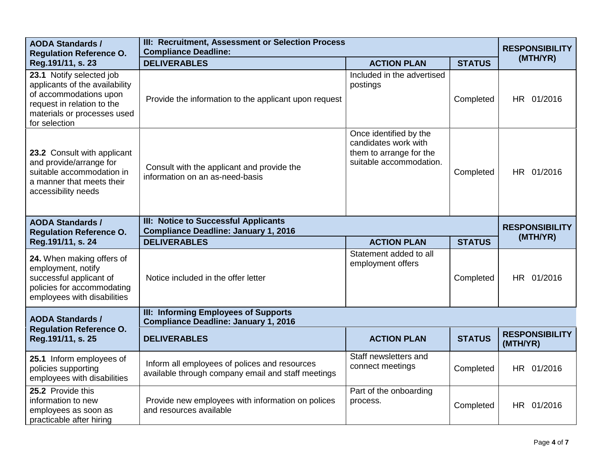| <b>AODA Standards /</b><br><b>Regulation Reference O.</b>                                                                                                          | III: Recruitment, Assessment or Selection Process<br><b>Compliance Deadline:</b>                    |                                                                                                      |                       | <b>RESPONSIBILITY</b>             |
|--------------------------------------------------------------------------------------------------------------------------------------------------------------------|-----------------------------------------------------------------------------------------------------|------------------------------------------------------------------------------------------------------|-----------------------|-----------------------------------|
| Reg.191/11, s. 23                                                                                                                                                  | <b>DELIVERABLES</b>                                                                                 | <b>ACTION PLAN</b>                                                                                   | <b>STATUS</b>         | (MTH/YR)                          |
| 23.1 Notify selected job<br>applicants of the availability<br>of accommodations upon<br>request in relation to the<br>materials or processes used<br>for selection | Provide the information to the applicant upon request                                               | Included in the advertised<br>postings                                                               | Completed             | HR 01/2016                        |
| 23.2 Consult with applicant<br>and provide/arrange for<br>suitable accommodation in<br>a manner that meets their<br>accessibility needs                            | Consult with the applicant and provide the<br>information on an as-need-basis                       | Once identified by the<br>candidates work with<br>them to arrange for the<br>suitable accommodation. | Completed             | HR 01/2016                        |
| <b>AODA Standards /</b><br><b>Regulation Reference O.</b>                                                                                                          | III: Notice to Successful Applicants<br><b>Compliance Deadline: January 1, 2016</b>                 |                                                                                                      | <b>RESPONSIBILITY</b> |                                   |
| Reg.191/11, s. 24                                                                                                                                                  | <b>DELIVERABLES</b>                                                                                 | <b>ACTION PLAN</b>                                                                                   | <b>STATUS</b>         | (MTH/YR)                          |
| 24. When making offers of<br>employment, notify<br>successful applicant of<br>policies for accommodating<br>employees with disabilities                            | Notice included in the offer letter                                                                 | Statement added to all<br>employment offers                                                          | Completed             | HR 01/2016                        |
| <b>AODA Standards /</b>                                                                                                                                            | III: Informing Employees of Supports<br><b>Compliance Deadline: January 1, 2016</b>                 |                                                                                                      |                       |                                   |
| <b>Regulation Reference O.</b><br>Reg.191/11, s. 25                                                                                                                | <b>DELIVERABLES</b>                                                                                 | <b>ACTION PLAN</b>                                                                                   | <b>STATUS</b>         | <b>RESPONSIBILITY</b><br>(MTH/YR) |
| 25.1 Inform employees of<br>policies supporting<br>employees with disabilities                                                                                     | Inform all employees of polices and resources<br>available through company email and staff meetings | Staff newsletters and<br>connect meetings                                                            | Completed             | HR 01/2016                        |
| 25.2 Provide this<br>information to new<br>employees as soon as<br>practicable after hiring                                                                        | Provide new employees with information on polices<br>and resources available                        | Part of the onboarding<br>process.                                                                   | Completed             | HR 01/2016                        |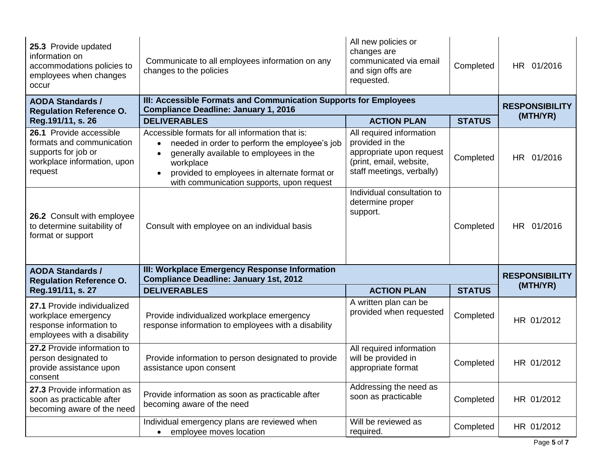| 25.3 Provide updated<br>information on<br>accommodations policies to<br>employees when changes<br>occur               | Communicate to all employees information on any<br>changes to the policies                                                                                                                                                                                         | All new policies or<br>changes are<br>communicated via email<br>and sign offs are<br>requested.                                 | Completed     | HR 01/2016            |
|-----------------------------------------------------------------------------------------------------------------------|--------------------------------------------------------------------------------------------------------------------------------------------------------------------------------------------------------------------------------------------------------------------|---------------------------------------------------------------------------------------------------------------------------------|---------------|-----------------------|
| <b>AODA Standards /</b><br><b>Regulation Reference O.</b>                                                             | III: Accessible Formats and Communication Supports for Employees<br><b>Compliance Deadline: January 1, 2016</b>                                                                                                                                                    | <b>RESPONSIBILITY</b>                                                                                                           |               |                       |
| Reg.191/11, s. 26                                                                                                     | <b>DELIVERABLES</b>                                                                                                                                                                                                                                                | <b>ACTION PLAN</b>                                                                                                              | <b>STATUS</b> | (MTH/YR)              |
| 26.1 Provide accessible<br>formats and communication<br>supports for job or<br>workplace information, upon<br>request | Accessible formats for all information that is:<br>needed in order to perform the employee's job<br>$\bullet$<br>generally available to employees in the<br>workplace<br>provided to employees in alternate format or<br>with communication supports, upon request | All required information<br>provided in the<br>appropriate upon request<br>(print, email, website,<br>staff meetings, verbally) | Completed     | HR 01/2016            |
| 26.2 Consult with employee<br>to determine suitability of<br>format or support                                        | Consult with employee on an individual basis                                                                                                                                                                                                                       | Individual consultation to<br>determine proper<br>support.                                                                      | Completed     | HR 01/2016            |
| <b>AODA Standards /</b><br><b>Regulation Reference O.</b>                                                             | III: Workplace Emergency Response Information<br><b>Compliance Deadline: January 1st, 2012</b>                                                                                                                                                                     |                                                                                                                                 |               | <b>RESPONSIBILITY</b> |
| Reg.191/11, s. 27                                                                                                     | <b>DELIVERABLES</b>                                                                                                                                                                                                                                                | <b>ACTION PLAN</b>                                                                                                              | <b>STATUS</b> | (MTH/YR)              |
| 27.1 Provide individualized<br>workplace emergency<br>response information to<br>employees with a disability          | Provide individualized workplace emergency<br>response information to employees with a disability                                                                                                                                                                  | A written plan can be<br>provided when requested                                                                                | Completed     | HR 01/2012            |
| 27.2 Provide information to<br>person designated to<br>provide assistance upon<br>consent                             | Provide information to person designated to provide<br>assistance upon consent                                                                                                                                                                                     | All required information<br>will be provided in<br>appropriate format                                                           | Completed     | HR 01/2012            |
| 27.3 Provide information as<br>soon as practicable after<br>becoming aware of the need                                | Provide information as soon as practicable after<br>becoming aware of the need                                                                                                                                                                                     | Addressing the need as<br>soon as practicable                                                                                   | Completed     | HR 01/2012            |
|                                                                                                                       | Individual emergency plans are reviewed when<br>employee moves location                                                                                                                                                                                            | Will be reviewed as<br>required.                                                                                                | Completed     | HR 01/2012            |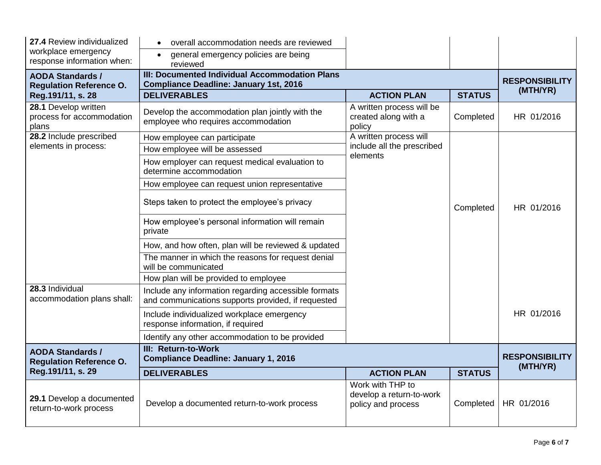| 27.4 Review individualized                                 | overall accommodation needs are reviewed                                                                   |                                                                    |               |                                   |
|------------------------------------------------------------|------------------------------------------------------------------------------------------------------------|--------------------------------------------------------------------|---------------|-----------------------------------|
| workplace emergency<br>response information when:          | general emergency policies are being<br>reviewed                                                           |                                                                    |               |                                   |
| <b>AODA Standards /</b><br><b>Regulation Reference O.</b>  | III: Documented Individual Accommodation Plans<br><b>Compliance Deadline: January 1st, 2016</b>            |                                                                    |               | <b>RESPONSIBILITY</b>             |
| Reg.191/11, s. 28                                          | <b>DELIVERABLES</b>                                                                                        | <b>ACTION PLAN</b>                                                 | <b>STATUS</b> | (MTH/YR)                          |
| 28.1 Develop written<br>process for accommodation<br>plans | Develop the accommodation plan jointly with the<br>employee who requires accommodation                     | A written process will be<br>created along with a<br>policy        | Completed     | HR 01/2016                        |
| 28.2 Include prescribed                                    | How employee can participate                                                                               | A written process will                                             |               |                                   |
| elements in process:                                       | How employee will be assessed                                                                              | include all the prescribed<br>elements                             |               |                                   |
|                                                            | How employer can request medical evaluation to<br>determine accommodation                                  |                                                                    |               |                                   |
|                                                            | How employee can request union representative                                                              |                                                                    |               |                                   |
|                                                            | Steps taken to protect the employee's privacy                                                              |                                                                    | Completed     | HR 01/2016                        |
|                                                            | How employee's personal information will remain<br>private                                                 |                                                                    |               |                                   |
|                                                            | How, and how often, plan will be reviewed & updated                                                        |                                                                    |               |                                   |
|                                                            | The manner in which the reasons for request denial<br>will be communicated                                 |                                                                    |               |                                   |
|                                                            | How plan will be provided to employee                                                                      |                                                                    |               |                                   |
| 28.3 Individual<br>accommodation plans shall:              | Include any information regarding accessible formats<br>and communications supports provided, if requested |                                                                    |               |                                   |
|                                                            | Include individualized workplace emergency<br>response information, if required                            |                                                                    |               | HR 01/2016                        |
|                                                            | Identify any other accommodation to be provided                                                            |                                                                    |               |                                   |
| <b>AODA Standards /</b><br><b>Regulation Reference O.</b>  | III: Return-to-Work<br><b>Compliance Deadline: January 1, 2016</b>                                         |                                                                    |               | <b>RESPONSIBILITY</b><br>(MTH/YR) |
| Reg.191/11, s. 29                                          | <b>DELIVERABLES</b>                                                                                        | <b>ACTION PLAN</b>                                                 | <b>STATUS</b> |                                   |
| 29.1 Develop a documented<br>return-to-work process        | Develop a documented return-to-work process                                                                | Work with THP to<br>develop a return-to-work<br>policy and process | Completed     | HR 01/2016                        |